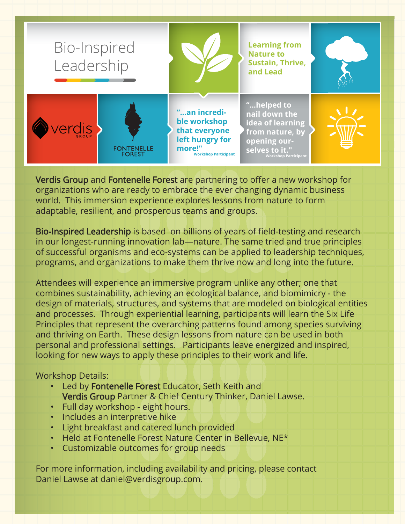

Verdis Group and Fontenelle Forest are partnering to offer a new workshop for organizations who are ready to embrace the ever changing dynamic business world. This immersion experience explores lessons from nature to form adaptable, resilient, and prosperous teams and groups.

Bio-Inspired Leadership is based on billions of years of field-testing and research in our longest-running innovation lab—nature. The same tried and true principles of successful organisms and eco-systems can be applied to leadership techniques, programs, and organizations to make them thrive now and long into the future.

Attendees will experience an immersive program unlike any other; one that combines sustainability, achieving an ecological balance, and biomimicry - the design of materials, structures, and systems that are modeled on biological entities and processes. Through experiential learning, participants will learn the Six Life Principles that represent the overarching patterns found among species surviving and thriving on Earth. These design lessons from nature can be used in both personal and professional settings. Participants leave energized and inspired, looking for new ways to apply these principles to their work and life.

# Workshop Details:

- Led by Fontenelle Forest Educator, Seth Keith and Verdis Group Partner & Chief Century Thinker, Daniel Lawse.
- Full day workshop eight hours.
- Includes an interpretive hike
- Light breakfast and catered lunch provided
- Held at Fontenelle Forest Nature Center in Bellevue, NE\*
- Customizable outcomes for group needs

For more information, including availability and pricing, please contact Daniel Lawse at daniel@verdisgroup.com.